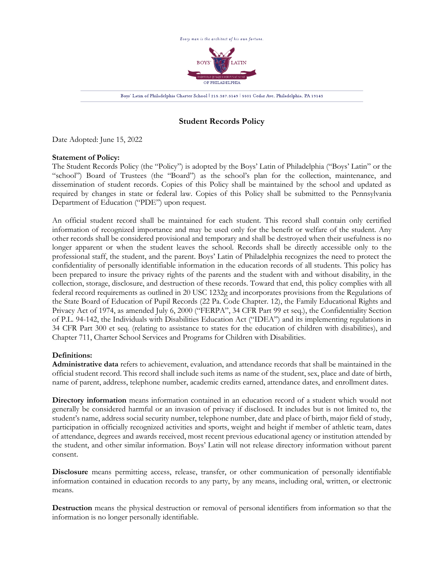

# **Student Records Policy**

Date Adopted: June 15, 2022

## **Statement of Policy:**

The Student Records Policy (the "Policy") is adopted by the Boys' Latin of Philadelphia ("Boys' Latin" or the "school") Board of Trustees (the "Board") as the school's plan for the collection, maintenance, and dissemination of student records. Copies of this Policy shall be maintained by the school and updated as required by changes in state or federal law. Copies of this Policy shall be submitted to the Pennsylvania Department of Education ("PDE") upon request.

An official student record shall be maintained for each student. This record shall contain only certified information of recognized importance and may be used only for the benefit or welfare of the student. Any other records shall be considered provisional and temporary and shall be destroyed when their usefulness is no longer apparent or when the student leaves the school. Records shall be directly accessible only to the professional staff, the student, and the parent. Boys' Latin of Philadelphia recognizes the need to protect the confidentiality of personally identifiable information in the education records of all students. This policy has been prepared to insure the privacy rights of the parents and the student with and without disability, in the collection, storage, disclosure, and destruction of these records. Toward that end, this policy complies with all federal record requirements as outlined in 20 USC 1232g and incorporates provisions from the Regulations of the State Board of Education of Pupil Records (22 Pa. Code Chapter. 12), the Family Educational Rights and Privacy Act of 1974, as amended July 6, 2000 ("FERPA", 34 CFR Part 99 et seq.), the Confidentiality Section of P.L. 94-142, the Individuals with Disabilities Education Act ("IDEA") and its implementing regulations in 34 CFR Part 300 et seq. (relating to assistance to states for the education of children with disabilities), and Chapter 711, Charter School Services and Programs for Children with Disabilities.

# **Definitions:**

**Administrative data** refers to achievement, evaluation, and attendance records that shall be maintained in the official student record. This record shall include such items as name of the student, sex, place and date of birth, name of parent, address, telephone number, academic credits earned, attendance dates, and enrollment dates.

**Directory information** means information contained in an education record of a student which would not generally be considered harmful or an invasion of privacy if disclosed. It includes but is not limited to, the student's name, address social security number, telephone number, date and place of birth, major field of study, participation in officially recognized activities and sports, weight and height if member of athletic team, dates of attendance, degrees and awards received, most recent previous educational agency or institution attended by the student, and other similar information. Boys' Latin will not release directory information without parent consent.

**Disclosure** means permitting access, release, transfer, or other communication of personally identifiable information contained in education records to any party, by any means, including oral, written, or electronic means.

**Destruction** means the physical destruction or removal of personal identifiers from information so that the information is no longer personally identifiable.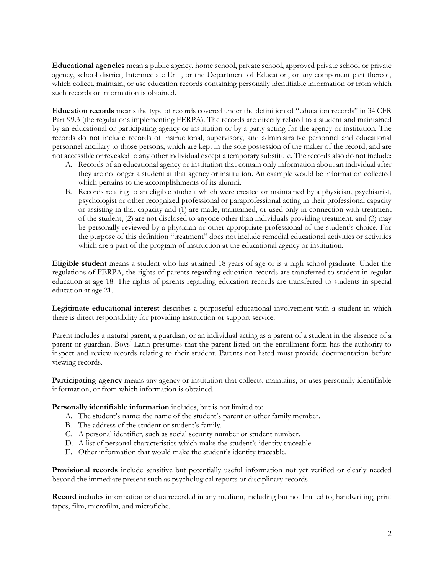**Educational agencies** mean a public agency, home school, private school, approved private school or private agency, school district, Intermediate Unit, or the Department of Education, or any component part thereof, which collect, maintain, or use education records containing personally identifiable information or from which such records or information is obtained.

**Education records** means the type of records covered under the definition of "education records" in 34 CFR Part 99.3 (the regulations implementing FERPA). The records are directly related to a student and maintained by an educational or participating agency or institution or by a party acting for the agency or institution. The records do not include records of instructional, supervisory, and administrative personnel and educational personnel ancillary to those persons, which are kept in the sole possession of the maker of the record, and are not accessible or revealed to any other individual except a temporary substitute. The records also do not include:

- A. Records of an educational agency or institution that contain only information about an individual after they are no longer a student at that agency or institution. An example would be information collected which pertains to the accomplishments of its alumni.
- B. Records relating to an eligible student which were created or maintained by a physician, psychiatrist, psychologist or other recognized professional or paraprofessional acting in their professional capacity or assisting in that capacity and (1) are made, maintained, or used only in connection with treatment of the student, (2) are not disclosed to anyone other than individuals providing treatment, and (3) may be personally reviewed by a physician or other appropriate professional of the student's choice. For the purpose of this definition "treatment" does not include remedial educational activities or activities which are a part of the program of instruction at the educational agency or institution.

**Eligible student** means a student who has attained 18 years of age or is a high school graduate. Under the regulations of FERPA, the rights of parents regarding education records are transferred to student in regular education at age 18. The rights of parents regarding education records are transferred to students in special education at age 21.

**Legitimate educational interest** describes a purposeful educational involvement with a student in which there is direct responsibility for providing instruction or support service.

Parent includes a natural parent, a guardian, or an individual acting as a parent of a student in the absence of a parent or guardian. Boys' Latin presumes that the parent listed on the enrollment form has the authority to inspect and review records relating to their student. Parents not listed must provide documentation before viewing records.

**Participating agency** means any agency or institution that collects, maintains, or uses personally identifiable information, or from which information is obtained.

**Personally identifiable information** includes, but is not limited to:

- A. The student's name; the name of the student's parent or other family member.
- B. The address of the student or student's family.
- C. A personal identifier, such as social security number or student number.
- D. A list of personal characteristics which make the student's identity traceable.
- E. Other information that would make the student's identity traceable.

**Provisional records** include sensitive but potentially useful information not yet verified or clearly needed beyond the immediate present such as psychological reports or disciplinary records.

**Record** includes information or data recorded in any medium, including but not limited to, handwriting, print tapes, film, microfilm, and microfiche.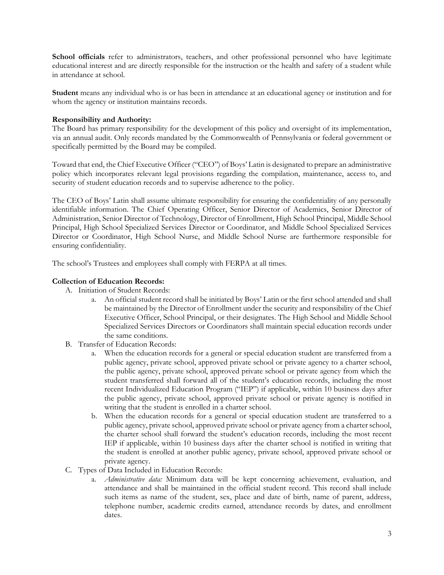School officials refer to administrators, teachers, and other professional personnel who have legitimate educational interest and are directly responsible for the instruction or the health and safety of a student while in attendance at school.

**Student** means any individual who is or has been in attendance at an educational agency or institution and for whom the agency or institution maintains records.

## **Responsibility and Authority:**

The Board has primary responsibility for the development of this policy and oversight of its implementation, via an annual audit. Only records mandated by the Commonwealth of Pennsylvania or federal government or specifically permitted by the Board may be compiled.

Toward that end, the Chief Executive Officer ("CEO") of Boys' Latin is designated to prepare an administrative policy which incorporates relevant legal provisions regarding the compilation, maintenance, access to, and security of student education records and to supervise adherence to the policy.

The CEO of Boys' Latin shall assume ultimate responsibility for ensuring the confidentiality of any personally identifiable information. The Chief Operating Officer, Senior Director of Academics, Senior Director of Administration, Senior Director of Technology, Director of Enrollment, High School Principal, Middle School Principal, High School Specialized Services Director or Coordinator, and Middle School Specialized Services Director or Coordinator, High School Nurse, and Middle School Nurse are furthermore responsible for ensuring confidentiality.

The school's Trustees and employees shall comply with FERPA at all times.

## **Collection of Education Records:**

- A. Initiation of Student Records:
	- a. An official student record shall be initiated by Boys' Latin or the first school attended and shall be maintained by the Director of Enrollment under the security and responsibility of the Chief Executive Officer, School Principal, or their designates. The High School and Middle School Specialized Services Directors or Coordinators shall maintain special education records under the same conditions.
- B. Transfer of Education Records:
	- a. When the education records for a general or special education student are transferred from a public agency, private school, approved private school or private agency to a charter school, the public agency, private school, approved private school or private agency from which the student transferred shall forward all of the student's education records, including the most recent Individualized Education Program ("IEP") if applicable, within 10 business days after the public agency, private school, approved private school or private agency is notified in writing that the student is enrolled in a charter school.
	- b. When the education records for a general or special education student are transferred to a public agency, private school, approved private school or private agency from a charter school, the charter school shall forward the student's education records, including the most recent IEP if applicable, within 10 business days after the charter school is notified in writing that the student is enrolled at another public agency, private school, approved private school or private agency.
- C. Types of Data Included in Education Records:
	- a. *Administrative data:* Minimum data will be kept concerning achievement, evaluation, and attendance and shall be maintained in the official student record. This record shall include such items as name of the student, sex, place and date of birth, name of parent, address, telephone number, academic credits earned, attendance records by dates, and enrollment dates.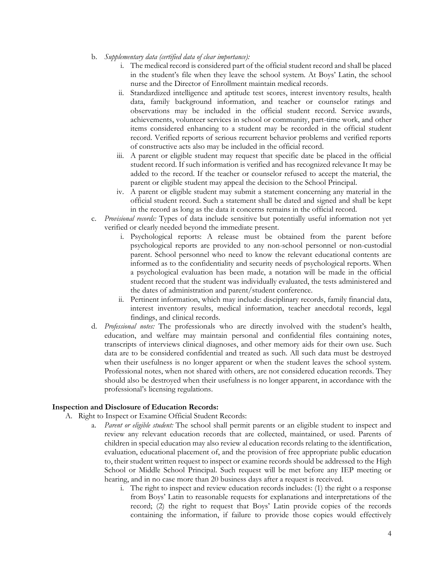- b. *Supplementary data (certified data of clear importance):*
	- i. The medical record is considered part of the official student record and shall be placed in the student's file when they leave the school system. At Boys' Latin, the school nurse and the Director of Enrollment maintain medical records.
	- ii. Standardized intelligence and aptitude test scores, interest inventory results, health data, family background information, and teacher or counselor ratings and observations may be included in the official student record. Service awards, achievements, volunteer services in school or community, part-time work, and other items considered enhancing to a student may be recorded in the official student record. Verified reports of serious recurrent behavior problems and verified reports of constructive acts also may be included in the official record.
	- iii. A parent or eligible student may request that specific date be placed in the official student record. If such information is verified and has recognized relevance It may be added to the record. If the teacher or counselor refused to accept the material, the parent or eligible student may appeal the decision to the School Principal.
	- iv. A parent or eligible student may submit a statement concerning any material in the official student record. Such a statement shall be dated and signed and shall be kept in the record as long as the data it concerns remains in the official record.
- c. *Provisional records:* Types of data include sensitive but potentially useful information not yet verified or clearly needed beyond the immediate present.
	- i. Psychological reports: A release must be obtained from the parent before psychological reports are provided to any non-school personnel or non-custodial parent. School personnel who need to know the relevant educational contents are informed as to the confidentiality and security needs of psychological reports. When a psychological evaluation has been made, a notation will be made in the official student record that the student was individually evaluated, the tests administered and the dates of administration and parent/student conference.
	- ii. Pertinent information, which may include: disciplinary records, family financial data, interest inventory results, medical information, teacher anecdotal records, legal findings, and clinical records.
- d. *Professional notes:* The professionals who are directly involved with the student's health, education, and welfare may maintain personal and confidential files containing notes, transcripts of interviews clinical diagnoses, and other memory aids for their own use. Such data are to be considered confidential and treated as such. All such data must be destroyed when their usefulness is no longer apparent or when the student leaves the school system. Professional notes, when not shared with others, are not considered education records. They should also be destroyed when their usefulness is no longer apparent, in accordance with the professional's licensing regulations.

# **Inspection and Disclosure of Education Records:**

- A. Right to Inspect or Examine Official Student Records:
	- a. *Parent or eligible student:* The school shall permit parents or an eligible student to inspect and review any relevant education records that are collected, maintained, or used. Parents of children in special education may also review al education records relating to the identification, evaluation, educational placement of, and the provision of free appropriate public education to, their student written request to inspect or examine records should be addressed to the High School or Middle School Principal. Such request will be met before any IEP meeting or hearing, and in no case more than 20 business days after a request is received.
		- i. The right to inspect and review education records includes: (1) the right o a response from Boys' Latin to reasonable requests for explanations and interpretations of the record; (2) the right to request that Boys' Latin provide copies of the records containing the information, if failure to provide those copies would effectively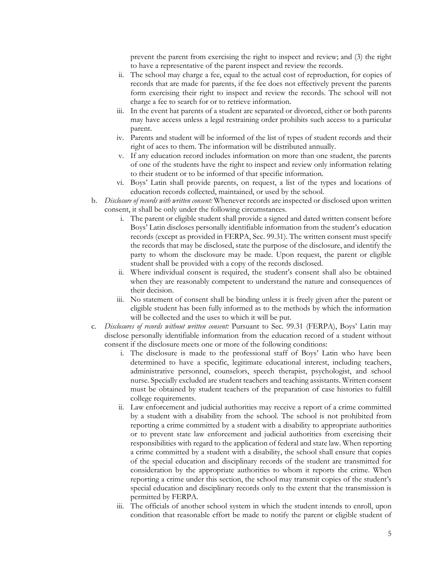prevent the parent from exercising the right to inspect and review; and (3) the right to have a representative of the parent inspect and review the records.

- ii. The school may charge a fee, equal to the actual cost of reproduction, for copies of records that are made for parents, if the fee does not effectively prevent the parents form exercising their right to inspect and review the records. The school will not charge a fee to search for or to retrieve information.
- iii. In the event hat parents of a student are separated or divorced, either or both parents may have access unless a legal restraining order prohibits such access to a particular parent.
- iv. Parents and student will be informed of the list of types of student records and their right of aces to them. The information will be distributed annually.
- v. If any education record includes information on more than one student, the parents of one of the students have the right to inspect and review only information relating to their student or to be informed of that specific information.
- vi. Boys' Latin shall provide parents, on request, a list of the types and locations of education records collected, maintained, or used by the school.
- b. *Disclosure of records with written consent:* Whenever records are inspected or disclosed upon written consent, it shall be only under the following circumstances.
	- i. The parent or eligible student shall provide a signed and dated written consent before Boys' Latin discloses personally identifiable information from the student's education records (except as provided in FERPA, Sec. 99.31). The written consent must specify the records that may be disclosed, state the purpose of the disclosure, and identify the party to whom the disclosure may be made. Upon request, the parent or eligible student shall be provided with a copy of the records disclosed.
	- ii. Where individual consent is required, the student's consent shall also be obtained when they are reasonably competent to understand the nature and consequences of their decision.
	- iii. No statement of consent shall be binding unless it is freely given after the parent or eligible student has been fully informed as to the methods by which the information will be collected and the uses to which it will be put.
- c. *Disclosures of records without written consent:* Pursuant to Sec. 99.31 (FERPA), Boys' Latin may disclose personally identifiable information from the education record of a student without consent if the disclosure meets one or more of the following conditions:
	- i. The disclosure is made to the professional staff of Boys' Latin who have been determined to have a specific, legitimate educational interest, including teachers, administrative personnel, counselors, speech therapist, psychologist, and school nurse. Specially excluded are student teachers and teaching assistants. Written consent must be obtained by student teachers of the preparation of case histories to fulfill college requirements.
	- ii. Law enforcement and judicial authorities may receive a report of a crime committed by a student with a disability from the school. The school is not prohibited from reporting a crime committed by a student with a disability to appropriate authorities or to prevent state law enforcement and judicial authorities from exercising their responsibilities with regard to the application of federal and state law. When reporting a crime committed by a student with a disability, the school shall ensure that copies of the special education and disciplinary records of the student are transmitted for consideration by the appropriate authorities to whom it reports the crime. When reporting a crime under this section, the school may transmit copies of the student's special education and disciplinary records only to the extent that the transmission is permitted by FERPA.
	- iii. The officials of another school system in which the student intends to enroll, upon condition that reasonable effort be made to notify the parent or eligible student of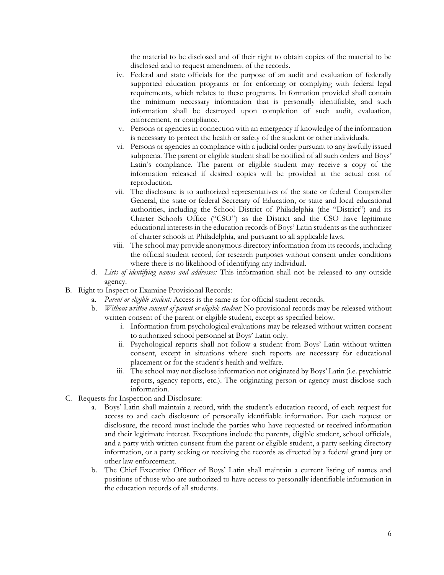the material to be disclosed and of their right to obtain copies of the material to be disclosed and to request amendment of the records.

- iv. Federal and state officials for the purpose of an audit and evaluation of federally supported education programs or for enforcing or complying with federal legal requirements, which relates to these programs. In formation provided shall contain the minimum necessary information that is personally identifiable, and such information shall be destroyed upon completion of such audit, evaluation, enforcement, or compliance.
- v. Persons or agencies in connection with an emergency if knowledge of the information is necessary to protect the health or safety of the student or other individuals.
- vi. Persons or agencies in compliance with a judicial order pursuant to any lawfully issued subpoena. The parent or eligible student shall be notified of all such orders and Boys' Latin's compliance. The parent or eligible student may receive a copy of the information released if desired copies will be provided at the actual cost of reproduction.
- vii. The disclosure is to authorized representatives of the state or federal Comptroller General, the state or federal Secretary of Education, or state and local educational authorities, including the School District of Philadelphia (the "District") and its Charter Schools Office ("CSO") as the District and the CSO have legitimate educational interests in the education records of Boys' Latin students as the authorizer of charter schools in Philadelphia, and pursuant to all applicable laws.
- viii. The school may provide anonymous directory information from its records, including the official student record, for research purposes without consent under conditions where there is no likelihood of identifying any individual.
- d. *Lists of identifying names and addresses:* This information shall not be released to any outside agency.
- B. Right to Inspect or Examine Provisional Records:
	- a. *Parent or eligible student:* Access is the same as for official student records.
	- b. *Without written consent of parent or eligible student:* No provisional records may be released without written consent of the parent or eligible student, except as specified below.
		- i. Information from psychological evaluations may be released without written consent to authorized school personnel at Boys' Latin only.
		- ii. Psychological reports shall not follow a student from Boys' Latin without written consent, except in situations where such reports are necessary for educational placement or for the student's health and welfare.
		- iii. The school may not disclose information not originated by Boys' Latin (i.e. psychiatric reports, agency reports, etc.). The originating person or agency must disclose such information.
- C. Requests for Inspection and Disclosure:
	- a. Boys' Latin shall maintain a record, with the student's education record, of each request for access to and each disclosure of personally identifiable information. For each request or disclosure, the record must include the parties who have requested or received information and their legitimate interest. Exceptions include the parents, eligible student, school officials, and a party with written consent from the parent or eligible student, a party seeking directory information, or a party seeking or receiving the records as directed by a federal grand jury or other law enforcement.
	- b. The Chief Executive Officer of Boys' Latin shall maintain a current listing of names and positions of those who are authorized to have access to personally identifiable information in the education records of all students.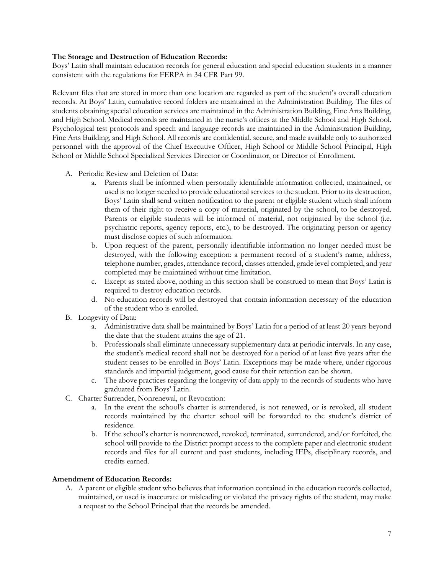## **The Storage and Destruction of Education Records:**

Boys' Latin shall maintain education records for general education and special education students in a manner consistent with the regulations for FERPA in 34 CFR Part 99.

Relevant files that are stored in more than one location are regarded as part of the student's overall education records. At Boys' Latin, cumulative record folders are maintained in the Administration Building. The files of students obtaining special education services are maintained in the Administration Building, Fine Arts Building, and High School. Medical records are maintained in the nurse's offices at the Middle School and High School. Psychological test protocols and speech and language records are maintained in the Administration Building, Fine Arts Building, and High School. All records are confidential, secure, and made available only to authorized personnel with the approval of the Chief Executive Officer, High School or Middle School Principal, High School or Middle School Specialized Services Director or Coordinator, or Director of Enrollment.

- A. Periodic Review and Deletion of Data:
	- a. Parents shall be informed when personally identifiable information collected, maintained, or used is no longer needed to provide educational services to the student. Prior to its destruction, Boys' Latin shall send written notification to the parent or eligible student which shall inform them of their right to receive a copy of material, originated by the school, to be destroyed. Parents or eligible students will be informed of material, not originated by the school (i.e. psychiatric reports, agency reports, etc.), to be destroyed. The originating person or agency must disclose copies of such information.
	- b. Upon request of the parent, personally identifiable information no longer needed must be destroyed, with the following exception: a permanent record of a student's name, address, telephone number, grades, attendance record, classes attended, grade level completed, and year completed may be maintained without time limitation.
	- c. Except as stated above, nothing in this section shall be construed to mean that Boys' Latin is required to destroy education records.
	- d. No education records will be destroyed that contain information necessary of the education of the student who is enrolled.
- B. Longevity of Data:
	- a. Administrative data shall be maintained by Boys' Latin for a period of at least 20 years beyond the date that the student attains the age of 21.
	- b. Professionals shall eliminate unnecessary supplementary data at periodic intervals. In any case, the student's medical record shall not be destroyed for a period of at least five years after the student ceases to be enrolled in Boys' Latin. Exceptions may be made where, under rigorous standards and impartial judgement, good cause for their retention can be shown.
	- c. The above practices regarding the longevity of data apply to the records of students who have graduated from Boys' Latin.
- C. Charter Surrender, Nonrenewal, or Revocation:
	- a. In the event the school's charter is surrendered, is not renewed, or is revoked, all student records maintained by the charter school will be forwarded to the student's district of residence.
	- b. If the school's charter is nonrenewed, revoked, terminated, surrendered, and/or forfeited, the school will provide to the District prompt access to the complete paper and electronic student records and files for all current and past students, including IEPs, disciplinary records, and credits earned.

#### **Amendment of Education Records:**

A. A parent or eligible student who believes that information contained in the education records collected, maintained, or used is inaccurate or misleading or violated the privacy rights of the student, may make a request to the School Principal that the records be amended.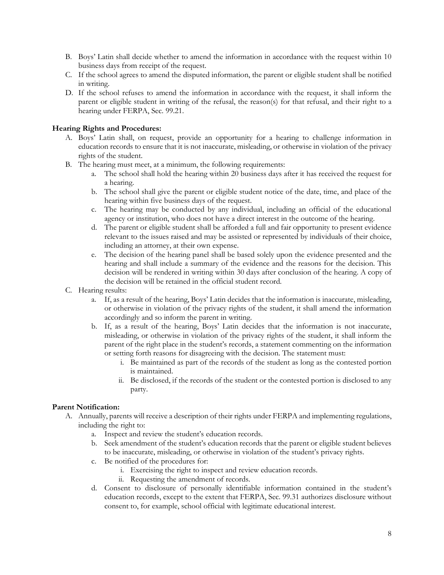- B. Boys' Latin shall decide whether to amend the information in accordance with the request within 10 business days from receipt of the request.
- C. If the school agrees to amend the disputed information, the parent or eligible student shall be notified in writing.
- D. If the school refuses to amend the information in accordance with the request, it shall inform the parent or eligible student in writing of the refusal, the reason(s) for that refusal, and their right to a hearing under FERPA, Sec. 99.21.

## **Hearing Rights and Procedures:**

- A. Boys' Latin shall, on request, provide an opportunity for a hearing to challenge information in education records to ensure that it is not inaccurate, misleading, or otherwise in violation of the privacy rights of the student.
- B. The hearing must meet, at a minimum, the following requirements:
	- a. The school shall hold the hearing within 20 business days after it has received the request for a hearing.
	- b. The school shall give the parent or eligible student notice of the date, time, and place of the hearing within five business days of the request.
	- c. The hearing may be conducted by any individual, including an official of the educational agency or institution, who does not have a direct interest in the outcome of the hearing.
	- d. The parent or eligible student shall be afforded a full and fair opportunity to present evidence relevant to the issues raised and may be assisted or represented by individuals of their choice, including an attorney, at their own expense.
	- e. The decision of the hearing panel shall be based solely upon the evidence presented and the hearing and shall include a summary of the evidence and the reasons for the decision. This decision will be rendered in writing within 30 days after conclusion of the hearing. A copy of the decision will be retained in the official student record.
- C. Hearing results:
	- a. If, as a result of the hearing, Boys' Latin decides that the information is inaccurate, misleading, or otherwise in violation of the privacy rights of the student, it shall amend the information accordingly and so inform the parent in writing.
	- b. If, as a result of the hearing, Boys' Latin decides that the information is not inaccurate, misleading, or otherwise in violation of the privacy rights of the student, it shall inform the parent of the right place in the student's records, a statement commenting on the information or setting forth reasons for disagreeing with the decision. The statement must:
		- i. Be maintained as part of the records of the student as long as the contested portion is maintained.
		- ii. Be disclosed, if the records of the student or the contested portion is disclosed to any party.

#### **Parent Notification:**

- A. Annually, parents will receive a description of their rights under FERPA and implementing regulations, including the right to:
	- a. Inspect and review the student's education records.
	- b. Seek amendment of the student's education records that the parent or eligible student believes to be inaccurate, misleading, or otherwise in violation of the student's privacy rights.
	- c. Be notified of the procedures for:
		- i. Exercising the right to inspect and review education records.
		- ii. Requesting the amendment of records.
	- d. Consent to disclosure of personally identifiable information contained in the student's education records, except to the extent that FERPA, Sec. 99.31 authorizes disclosure without consent to, for example, school official with legitimate educational interest.